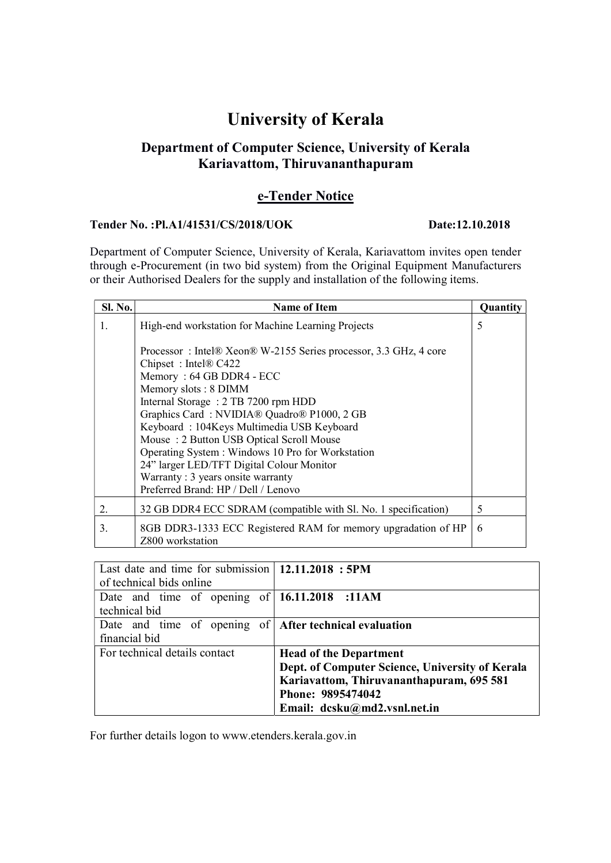# University of Kerala

# Department of Computer Science, University of Kerala Kariavattom, Thiruvananthapuram

# e-Tender Notice

#### Tender No. :Pl.A1/41531/CS/2018/UOK Date:12.10.2018

Department of Computer Science, University of Kerala, Kariavattom invites open tender through e-Procurement (in two bid system) from the Original Equipment Manufacturers or their Authorised Dealers for the supply and installation of the following items.

| <b>Sl. No.</b> | <b>Name of Item</b>                                                                                                                                                                                                                                                                                                                                                                                                                                                                                       | Quantity |
|----------------|-----------------------------------------------------------------------------------------------------------------------------------------------------------------------------------------------------------------------------------------------------------------------------------------------------------------------------------------------------------------------------------------------------------------------------------------------------------------------------------------------------------|----------|
| 1.             | High-end workstation for Machine Learning Projects                                                                                                                                                                                                                                                                                                                                                                                                                                                        | 5        |
|                | Processor: Intel® Xeon® W-2155 Series processor, 3.3 GHz, 4 core<br>Chipset: Intel® C422<br>Memory: 64 GB DDR4 - ECC<br>Memory slots: 8 DIMM<br>Internal Storage : 2 TB 7200 rpm HDD<br>Graphics Card: NVIDIA® Quadro® P1000, 2 GB<br>Keyboard: 104Keys Multimedia USB Keyboard<br>Mouse: 2 Button USB Optical Scroll Mouse<br>Operating System : Windows 10 Pro for Workstation<br>24" larger LED/TFT Digital Colour Monitor<br>Warranty: 3 years onsite warranty<br>Preferred Brand: HP / Dell / Lenovo |          |
| 2.             | 32 GB DDR4 ECC SDRAM (compatible with Sl. No. 1 specification)                                                                                                                                                                                                                                                                                                                                                                                                                                            | 5        |
| 3.             | 8GB DDR3-1333 ECC Registered RAM for memory upgradation of HP<br>Z800 workstation                                                                                                                                                                                                                                                                                                                                                                                                                         | 6        |

| Last date and time for submission $\vert$ 12.11.2018 : 5PM |                                                 |
|------------------------------------------------------------|-------------------------------------------------|
| of technical bids online                                   |                                                 |
| Date and time of opening of $ 16.11.2018$ :11AM            |                                                 |
| technical bid                                              |                                                 |
| Date and time of opening of After technical evaluation     |                                                 |
| financial bid                                              |                                                 |
| For technical details contact                              | <b>Head of the Department</b>                   |
|                                                            | Dept. of Computer Science, University of Kerala |
|                                                            | Kariavattom, Thiruvananthapuram, 695 581        |
|                                                            | Phone: 9895474042                               |
|                                                            | Email: dcsku@md2.vsnl.net.in                    |

For further details logon to www.etenders.kerala.gov.in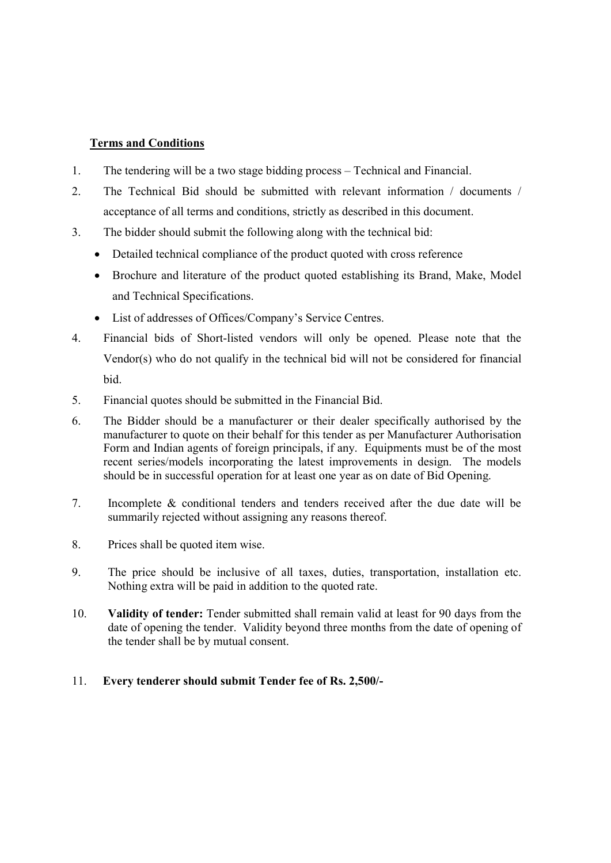### Terms and Conditions

- 1. The tendering will be a two stage bidding process Technical and Financial.
- 2. The Technical Bid should be submitted with relevant information / documents / acceptance of all terms and conditions, strictly as described in this document.
- 3. The bidder should submit the following along with the technical bid:
	- Detailed technical compliance of the product quoted with cross reference
	- Brochure and literature of the product quoted establishing its Brand, Make, Model and Technical Specifications.
	- List of addresses of Offices/Company's Service Centres.
- 4. Financial bids of Short-listed vendors will only be opened. Please note that the Vendor(s) who do not qualify in the technical bid will not be considered for financial bid.
- 5. Financial quotes should be submitted in the Financial Bid.
- 6. The Bidder should be a manufacturer or their dealer specifically authorised by the manufacturer to quote on their behalf for this tender as per Manufacturer Authorisation Form and Indian agents of foreign principals, if any. Equipments must be of the most recent series/models incorporating the latest improvements in design. The models should be in successful operation for at least one year as on date of Bid Opening.
- 7. Incomplete & conditional tenders and tenders received after the due date will be summarily rejected without assigning any reasons thereof.
- 8. Prices shall be quoted item wise.
- 9. The price should be inclusive of all taxes, duties, transportation, installation etc. Nothing extra will be paid in addition to the quoted rate.
- 10. Validity of tender: Tender submitted shall remain valid at least for 90 days from the date of opening the tender. Validity beyond three months from the date of opening of the tender shall be by mutual consent.
- 11. Every tenderer should submit Tender fee of Rs. 2,500/-